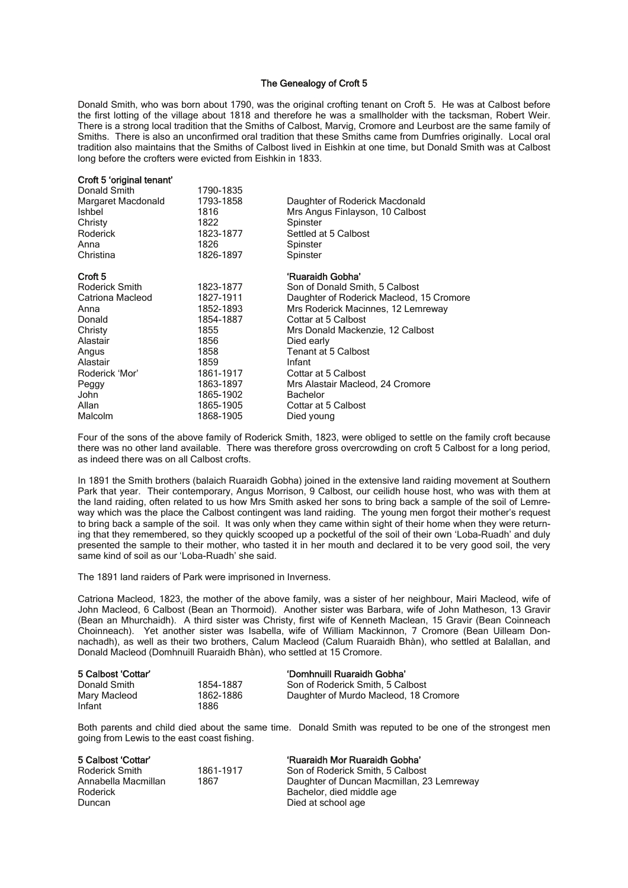## The Genealogy of Croft 5

Donald Smith, who was born about 1790, was the original crofting tenant on Croft 5. He was at Calbost before the first lotting of the village about 1818 and therefore he was a smallholder with the tacksman, Robert Weir. There is a strong local tradition that the Smiths of Calbost, Marvig, Cromore and Leurbost are the same family of Smiths. There is also an unconfirmed oral tradition that these Smiths came from Dumfries originally. Local oral tradition also maintains that the Smiths of Calbost lived in Eishkin at one time, but Donald Smith was at Calbost long before the crofters were evicted from Eishkin in 1833.

| Croft 5 original tenant |           |                                          |
|-------------------------|-----------|------------------------------------------|
| Donald Smith            | 1790-1835 |                                          |
| Margaret Macdonald      | 1793-1858 | Daughter of Roderick Macdonald           |
| Ishbel                  | 1816      | Mrs Angus Finlayson, 10 Calbost          |
| Christy                 | 1822      | Spinster                                 |
| Roderick                | 1823-1877 | Settled at 5 Calbost                     |
| Anna                    | 1826      | Spinster                                 |
| Christina               | 1826-1897 | Spinster                                 |
| Croft <sub>5</sub>      |           | 'Ruaraidh Gobha'                         |
| Roderick Smith          | 1823-1877 | Son of Donald Smith, 5 Calbost           |
| Catriona Macleod        | 1827-1911 | Daughter of Roderick Macleod, 15 Cromore |
| Anna                    | 1852-1893 | Mrs Roderick Macinnes, 12 Lemreway       |
| Donald                  | 1854-1887 | Cottar at 5 Calbost                      |
| Christy                 | 1855      | Mrs Donald Mackenzie, 12 Calbost         |
| Alastair                | 1856      | Died early                               |
| Angus                   | 1858      | <b>Tenant at 5 Calbost</b>               |
| Alastair                | 1859      | Infant                                   |
| Roderick 'Mor'          | 1861-1917 | Cottar at 5 Calbost                      |
| Peggy                   | 1863-1897 | Mrs Alastair Macleod, 24 Cromore         |
| John                    | 1865-1902 | <b>Bachelor</b>                          |
| Allan                   | 1865-1905 | Cottar at 5 Calbost                      |
| Malcolm                 | 1868-1905 | Died young                               |
|                         |           |                                          |

Four of the sons of the above family of Roderick Smith, 1823, were obliged to settle on the family croft because there was no other land available. There was therefore gross overcrowding on croft 5 Calbost for a long period, as indeed there was on all Calbost crofts.

In 1891 the Smith brothers (balaich Ruaraidh Gobha) joined in the extensive land raiding movement at Southern Park that year. Their contemporary, Angus Morrison, 9 Calbost, our ceilidh house host, who was with them at the land raiding, often related to us how Mrs Smith asked her sons to bring back a sample of the soil of Lemreway which was the place the Calbost contingent was land raiding. The young men forgot their mother's request to bring back a sample of the soil. It was only when they came within sight of their home when they were returning that they remembered, so they quickly scooped up a pocketful of the soil of their own 'Loba-Ruadh' and duly presented the sample to their mother, who tasted it in her mouth and declared it to be very good soil, the very same kind of soil as our 'Loba-Ruadh' she said.

The 1891 land raiders of Park were imprisoned in Inverness.

Croft 5 'original tenant'

Catriona Macleod, 1823, the mother of the above family, was a sister of her neighbour, Mairi Macleod, wife of John Macleod, 6 Calbost (Bean an Thormoid). Another sister was Barbara, wife of John Matheson, 13 Gravir (Bean an Mhurchaidh). A third sister was Christy, first wife of Kenneth Maclean, 15 Gravir (Bean Coinneach Choinneach). Yet another sister was Isabella, wife of William Mackinnon, 7 Cromore (Bean Uilleam Donnachadh), as well as their two brothers, Calum Macleod (Calum Ruaraidh Bhàn), who settled at Balallan, and Donald Macleod (Domhnuill Ruaraidh Bhàn), who settled at 15 Cromore.

| 5 Calbost 'Cottar' |           | 'Domhnuill Ruaraidh Gobha'            |
|--------------------|-----------|---------------------------------------|
| Donald Smith       | 1854-1887 | Son of Roderick Smith, 5 Calbost      |
| Mary Macleod       | 1862-1886 | Daughter of Murdo Macleod, 18 Cromore |
| Infant             | 1886      |                                       |

Both parents and child died about the same time. Donald Smith was reputed to be one of the strongest men going from Lewis to the east coast fishing.

| 5 Calbost 'Cottar'  |           | 'Ruaraidh Mor Ruaraidh Gobha'             |
|---------------------|-----------|-------------------------------------------|
| Roderick Smith      | 1861-1917 | Son of Roderick Smith, 5 Calbost          |
| Annabella Macmillan | 1867      | Daughter of Duncan Macmillan, 23 Lemreway |
| Roderick            |           | Bachelor, died middle age                 |
| Duncan              |           | Died at school age                        |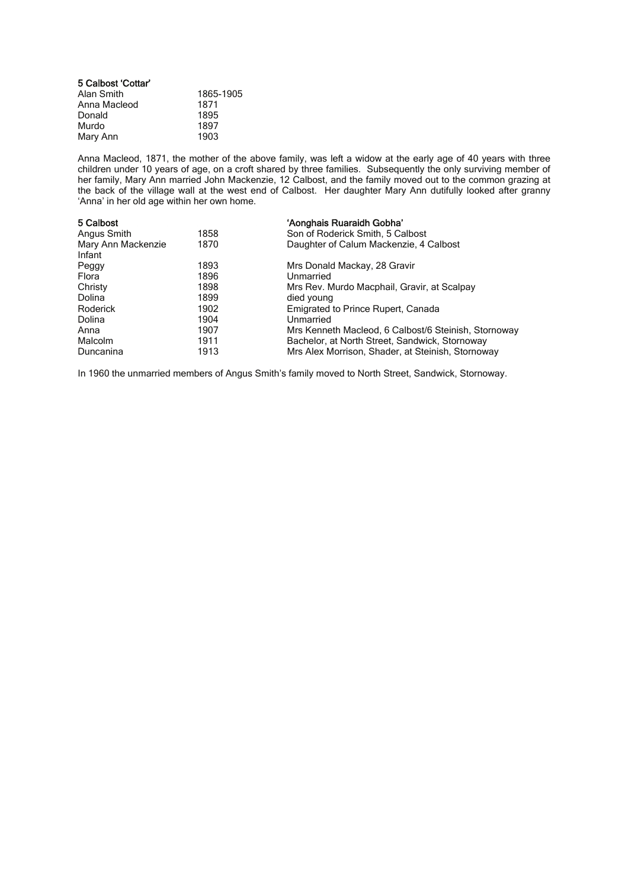| 5 Calbost 'Cottar' |           |
|--------------------|-----------|
| Alan Smith         | 1865-1905 |
| Anna Macleod       | 1871      |
| Donald             | 1895      |
| Murdo              | 1897      |
| Mary Ann           | 1903      |

Anna Macleod, 1871, the mother of the above family, was left a widow at the early age of 40 years with three children under 10 years of age, on a croft shared by three families. Subsequently the only surviving member of her family, Mary Ann married John Mackenzie, 12 Calbost, and the family moved out to the common grazing at the back of the village wall at the west end of Calbost. Her daughter Mary Ann dutifully looked after granny 'Anna' in her old age within her own home.

| 5 Calbost                    |      | 'Aonghais Ruaraidh Gobha'                            |
|------------------------------|------|------------------------------------------------------|
| Angus Smith                  | 1858 | Son of Roderick Smith, 5 Calbost                     |
| Mary Ann Mackenzie<br>Infant | 1870 | Daughter of Calum Mackenzie, 4 Calbost               |
| Peggy                        | 1893 | Mrs Donald Mackay, 28 Gravir                         |
| Flora                        | 1896 | Unmarried                                            |
| Christy                      | 1898 | Mrs Rev. Murdo Macphail, Gravir, at Scalpay          |
| Dolina                       | 1899 | died young                                           |
| Roderick                     | 1902 | Emigrated to Prince Rupert, Canada                   |
| Dolina                       | 1904 | Unmarried                                            |
| Anna                         | 1907 | Mrs Kenneth Macleod, 6 Calbost/6 Steinish, Stornoway |
| <b>Malcolm</b>               | 1911 | Bachelor, at North Street, Sandwick, Stornoway       |
| Duncanina                    | 1913 | Mrs Alex Morrison, Shader, at Steinish, Stornoway    |

In 1960 the unmarried members of Angus Smith's family moved to North Street, Sandwick, Stornoway.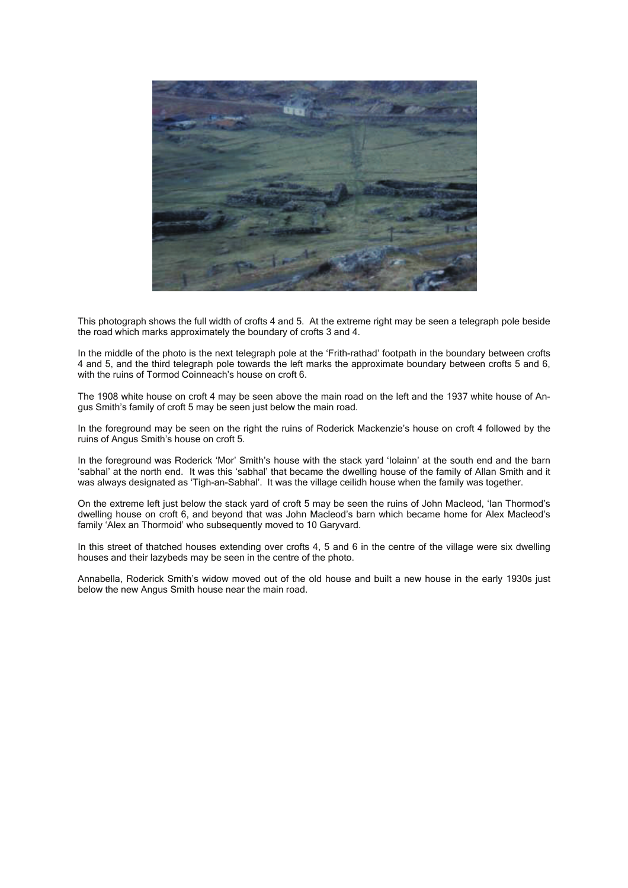

This photograph shows the full width of crofts 4 and 5. At the extreme right may be seen a telegraph pole beside the road which marks approximately the boundary of crofts 3 and 4.

In the middle of the photo is the next telegraph pole at the 'Frith-rathad' footpath in the boundary between crofts 4 and 5, and the third telegraph pole towards the left marks the approximate boundary between crofts 5 and 6, with the ruins of Tormod Coinneach's house on croft 6.

The 1908 white house on croft 4 may be seen above the main road on the left and the 1937 white house of Angus Smith's family of croft 5 may be seen just below the main road.

In the foreground may be seen on the right the ruins of Roderick Mackenzie's house on croft 4 followed by the ruins of Angus Smith's house on croft 5.

In the foreground was Roderick 'Mor' Smith's house with the stack yard 'Iolainn' at the south end and the barn 'sabhal' at the north end. It was this 'sabhal' that became the dwelling house of the family of Allan Smith and it was always designated as 'Tigh-an-Sabhal'. It was the village ceilidh house when the family was together.

On the extreme left just below the stack yard of croft 5 may be seen the ruins of John Macleod, 'Ian Thormod's dwelling house on croft 6, and beyond that was John Macleod's barn which became home for Alex Macleod's family 'Alex an Thormoid' who subsequently moved to 10 Garyvard.

In this street of thatched houses extending over crofts 4, 5 and 6 in the centre of the village were six dwelling houses and their lazybeds may be seen in the centre of the photo.

Annabella, Roderick Smith's widow moved out of the old house and built a new house in the early 1930s just below the new Angus Smith house near the main road.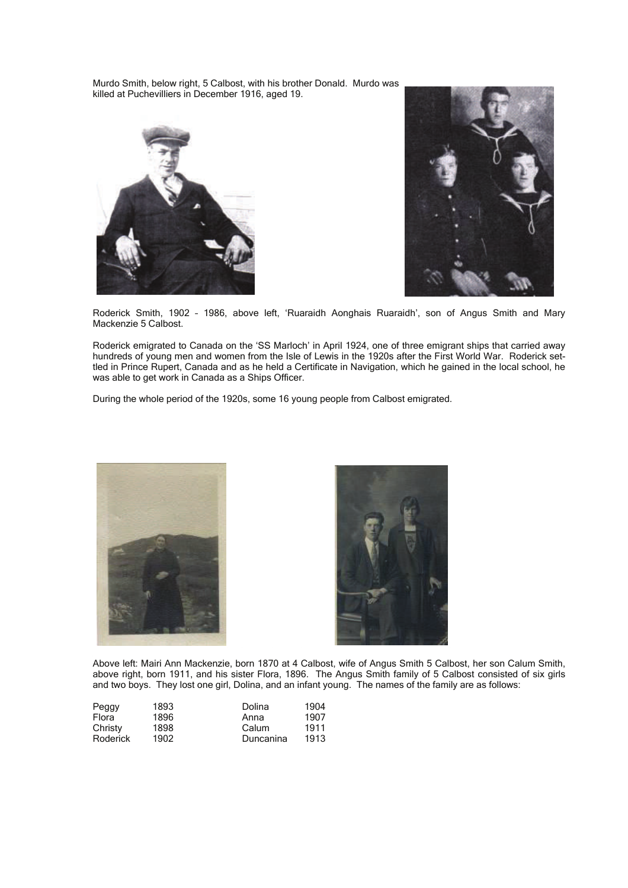Murdo Smith, below right, 5 Calbost, with his brother Donald. Murdo was killed at Puchevilliers in December 1916, aged 19.





Roderick Smith, 1902 – 1986, above left, 'Ruaraidh Aonghais Ruaraidh', son of Angus Smith and Mary Mackenzie 5 Calbost.

Roderick emigrated to Canada on the 'SS Marloch' in April 1924, one of three emigrant ships that carried away hundreds of young men and women from the Isle of Lewis in the 1920s after the First World War. Roderick settled in Prince Rupert, Canada and as he held a Certificate in Navigation, which he gained in the local school, he was able to get work in Canada as a Ships Officer.

During the whole period of the 1920s, some 16 young people from Calbost emigrated.





Above left: Mairi Ann Mackenzie, born 1870 at 4 Calbost, wife of Angus Smith 5 Calbost, her son Calum Smith, above right, born 1911, and his sister Flora, 1896. The Angus Smith family of 5 Calbost consisted of six girls and two boys. They lost one girl, Dolina, and an infant young. The names of the family are as follows:

| Peggy    | 1893 | Dolina    | 1904 |
|----------|------|-----------|------|
| Flora    | 1896 | Anna      | 1907 |
| Christy  | 1898 | Calum     | 1911 |
| Roderick | 1902 | Duncanina | 1913 |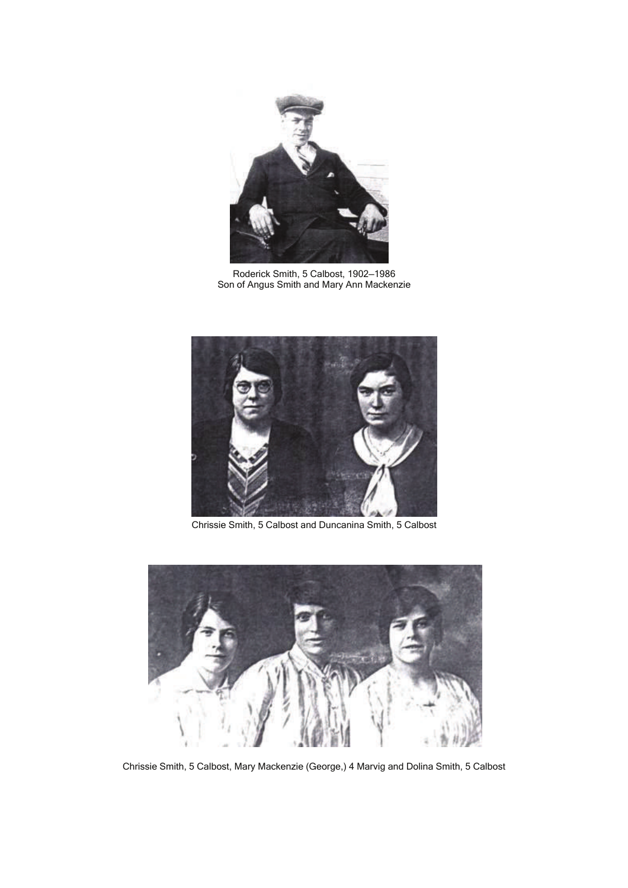

Roderick Smith, 5 Calbost, 1902—1986 Son of Angus Smith and Mary Ann Mackenzie



Chrissie Smith, 5 Calbost and Duncanina Smith, 5 Calbost



Chrissie Smith, 5 Calbost, Mary Mackenzie (George,) 4 Marvig and Dolina Smith, 5 Calbost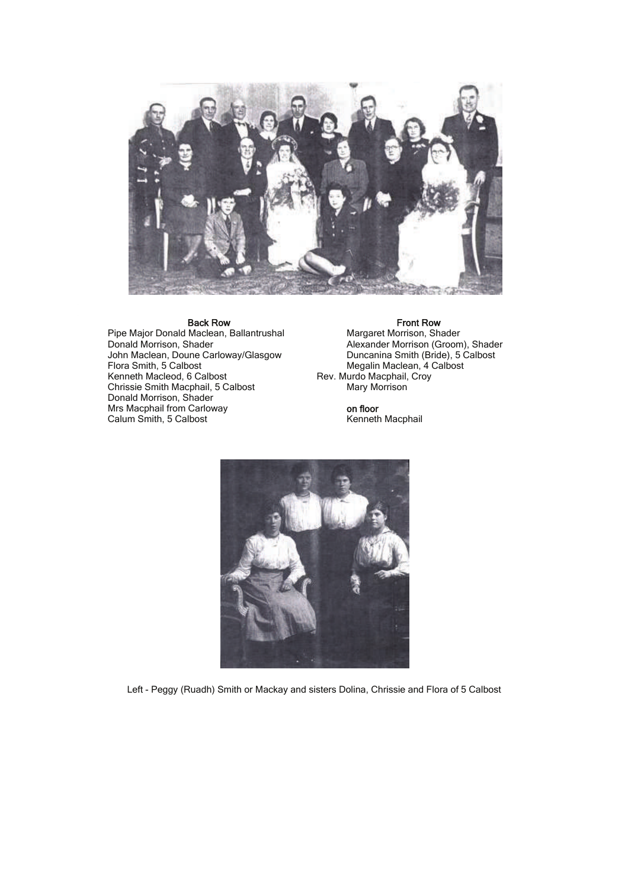

Pipe Major Donald Maclean, Ballantrushal Margaret Morrison, Shader Donald Morrison, Shader Alexander Alexander Morrison (Groom), Shader John Maclean, Doune Carloway/Glasgow Duncanina Smith (Bride), 5 Calbost Figure Margaret Morrison, Shader<br>
Donald Morrison, Shader<br>
John Maclean, Doune Carloway/Glasgow<br>
Flora Smith, 5 Calbost<br>
Megalin Maclean, 4 Calbost<br>
Megalin Maclean, 4 Calbost<br>
Megalin Maclean, 4 Calbost<br>
Megalin Maclean, Chrissie Smith Macphail, 5 Calbost Donald Morrison, Shader Mrs Macphail from Carloway **on floor**<br>
Calum Smith, 5 Calbost **Calum Smith, 5 Calbost Calum Smith, 5 Calbost Calum** Company **Calum** Company **Calum** Company Company **Calum** Company Company Company Company Company Compan Calum Smith, 5 Calbost

**Back Row Front Row Front Row Front Row**<br>Maclean, Ballantrushal Margaret Morrison, Shader Kev. Murdo Macphail, Croy<br>Mary Morrison



Left - Peggy (Ruadh) Smith or Mackay and sisters Dolina, Chrissie and Flora of 5 Calbost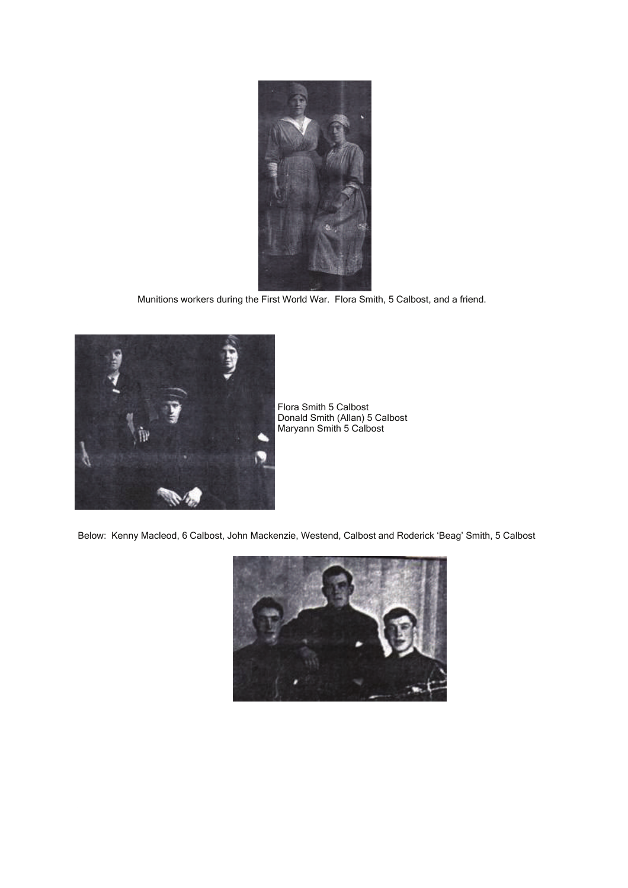

Munitions workers during the First World War. Flora Smith, 5 Calbost, and a friend.



Flora Smith 5 Calbost Donald Smith (Allan) 5 Calbost Maryann Smith 5 Calbost

Below: Kenny Macleod, 6 Calbost, John Mackenzie, Westend, Calbost and Roderick 'Beag' Smith, 5 Calbost

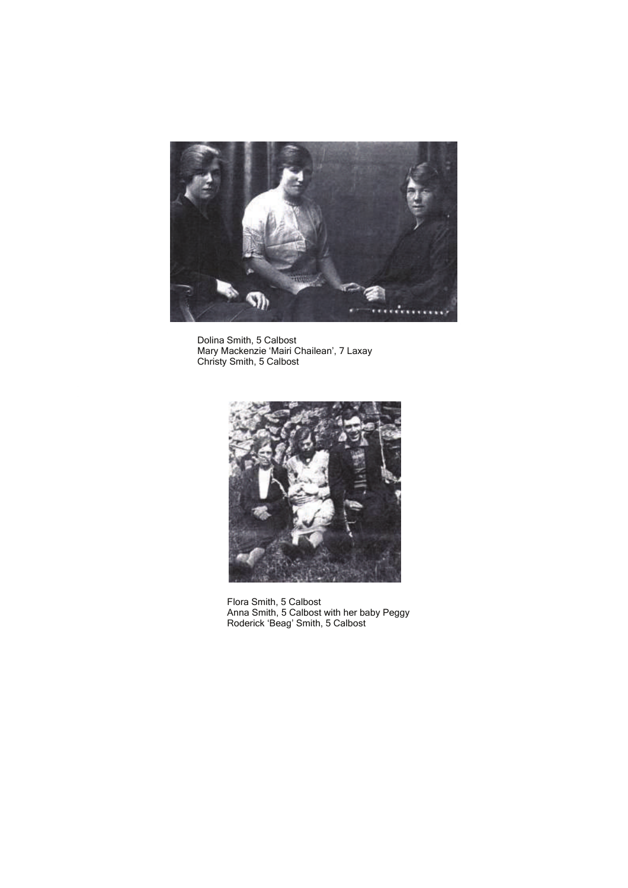

 Dolina Smith, 5 Calbost Mary Mackenzie 'Mairi Chailean', 7 Laxay Christy Smith, 5 Calbost



 Flora Smith, 5 Calbost Anna Smith, 5 Calbost with her baby Peggy Roderick 'Beag' Smith, 5 Calbost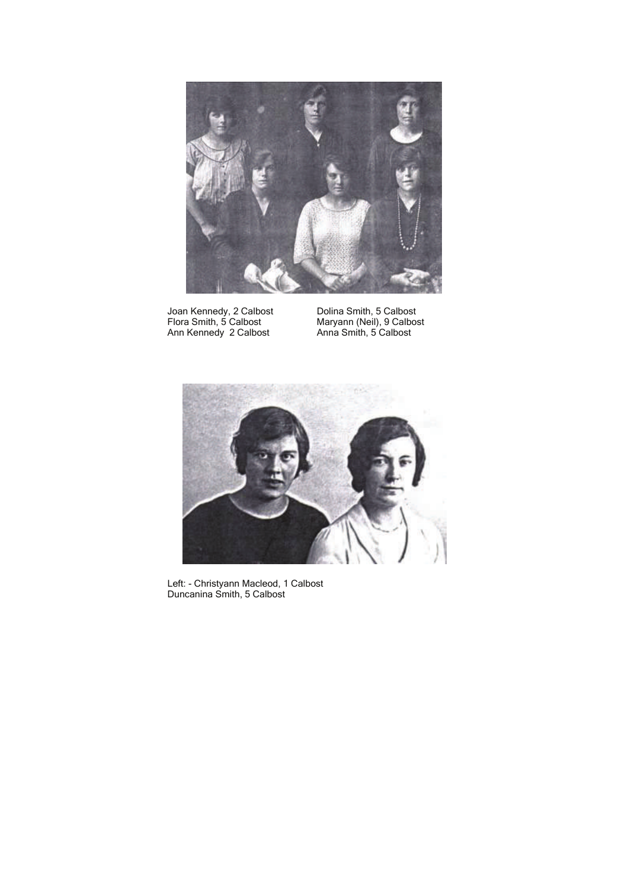

Joan Kennedy, 2 Calbost **Dolina Smith, 5 Calbost** Ann Kennedy 2 Calbost Anna Smith, 5 Calbost

Dolina Smith, 5 Calbost<br>Maryann (Neil), 9 Calbost<br>Anna Smith, 5 Calbost



 Left: - Christyann Macleod, 1 Calbost Duncanina Smith, 5 Calbost